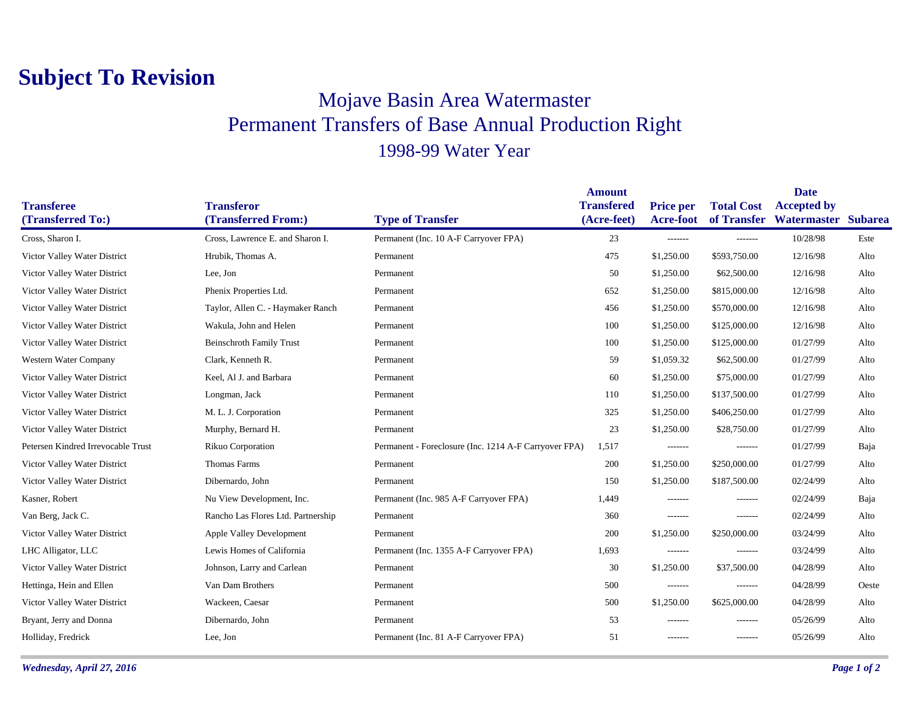## **Subject To Revision**

## Mojave Basin Area Watermaster Permanent Transfers of Base Annual Production Right 1998-99 Water Year

|                                    |                                    |                                                       | <b>Amount</b>     |                  |                   | <b>Date</b>                     |       |
|------------------------------------|------------------------------------|-------------------------------------------------------|-------------------|------------------|-------------------|---------------------------------|-------|
| <b>Transferee</b>                  | <b>Transferor</b>                  |                                                       | <b>Transfered</b> | <b>Price per</b> | <b>Total Cost</b> | <b>Accepted by</b>              |       |
| (Transferred To:)                  | (Transferred From:)                | <b>Type of Transfer</b>                               | (Acre-feet)       | <b>Acre-foot</b> |                   | of Transfer Watermaster Subarea |       |
| Cross, Sharon I.                   | Cross, Lawrence E. and Sharon I.   | Permanent (Inc. 10 A-F Carryover FPA)                 | 23                | -------          | -------           | 10/28/98                        | Este  |
| Victor Valley Water District       | Hrubik, Thomas A.                  | Permanent                                             | 475               | \$1,250.00       | \$593,750.00      | 12/16/98                        | Alto  |
| Victor Valley Water District       | Lee, Jon                           | Permanent                                             | 50                | \$1,250.00       | \$62,500.00       | 12/16/98                        | Alto  |
| Victor Valley Water District       | Phenix Properties Ltd.             | Permanent                                             | 652               | \$1,250.00       | \$815,000.00      | 12/16/98                        | Alto  |
| Victor Valley Water District       | Taylor, Allen C. - Haymaker Ranch  | Permanent                                             | 456               | \$1,250.00       | \$570,000.00      | 12/16/98                        | Alto  |
| Victor Valley Water District       | Wakula, John and Helen             | Permanent                                             | 100               | \$1,250.00       | \$125,000.00      | 12/16/98                        | Alto  |
| Victor Valley Water District       | <b>Beinschroth Family Trust</b>    | Permanent                                             | 100               | \$1,250.00       | \$125,000.00      | 01/27/99                        | Alto  |
| Western Water Company              | Clark, Kenneth R.                  | Permanent                                             | 59                | \$1,059.32       | \$62,500.00       | 01/27/99                        | Alto  |
| Victor Valley Water District       | Keel, Al J. and Barbara            | Permanent                                             | 60                | \$1,250.00       | \$75,000.00       | 01/27/99                        | Alto  |
| Victor Valley Water District       | Longman, Jack                      | Permanent                                             | 110               | \$1,250.00       | \$137,500.00      | 01/27/99                        | Alto  |
| Victor Valley Water District       | M. L. J. Corporation               | Permanent                                             | 325               | \$1,250.00       | \$406,250.00      | 01/27/99                        | Alto  |
| Victor Valley Water District       | Murphy, Bernard H.                 | Permanent                                             | 23                | \$1,250.00       | \$28,750.00       | 01/27/99                        | Alto  |
| Petersen Kindred Irrevocable Trust | Rikuo Corporation                  | Permanent - Foreclosure (Inc. 1214 A-F Carryover FPA) | 1,517             | -------          | -------           | 01/27/99                        | Baja  |
| Victor Valley Water District       | Thomas Farms                       | Permanent                                             | 200               | \$1,250.00       | \$250,000.00      | 01/27/99                        | Alto  |
| Victor Valley Water District       | Dibernardo, John                   | Permanent                                             | 150               | \$1,250.00       | \$187,500.00      | 02/24/99                        | Alto  |
| Kasner, Robert                     | Nu View Development, Inc.          | Permanent (Inc. 985 A-F Carryover FPA)                | 1,449             | -------          | -------           | 02/24/99                        | Baja  |
| Van Berg, Jack C.                  | Rancho Las Flores Ltd. Partnership | Permanent                                             | 360               | -------          | -------           | 02/24/99                        | Alto  |
| Victor Valley Water District       | Apple Valley Development           | Permanent                                             | 200               | \$1,250.00       | \$250,000.00      | 03/24/99                        | Alto  |
| LHC Alligator, LLC                 | Lewis Homes of California          | Permanent (Inc. 1355 A-F Carryover FPA)               | 1,693             | -------          | -------           | 03/24/99                        | Alto  |
| Victor Valley Water District       | Johnson, Larry and Carlean         | Permanent                                             | 30                | \$1,250.00       | \$37,500.00       | 04/28/99                        | Alto  |
| Hettinga, Hein and Ellen           | Van Dam Brothers                   | Permanent                                             | 500               | -------          | -------           | 04/28/99                        | Oeste |
| Victor Valley Water District       | Wackeen, Caesar                    | Permanent                                             | 500               | \$1,250.00       | \$625,000.00      | 04/28/99                        | Alto  |
| Bryant, Jerry and Donna            | Dibernardo, John                   | Permanent                                             | 53                | -------          | -------           | 05/26/99                        | Alto  |
| Holliday, Fredrick                 | Lee, Jon                           | Permanent (Inc. 81 A-F Carryover FPA)                 | 51                | -------          | $- - - - - - -$   | 05/26/99                        | Alto  |